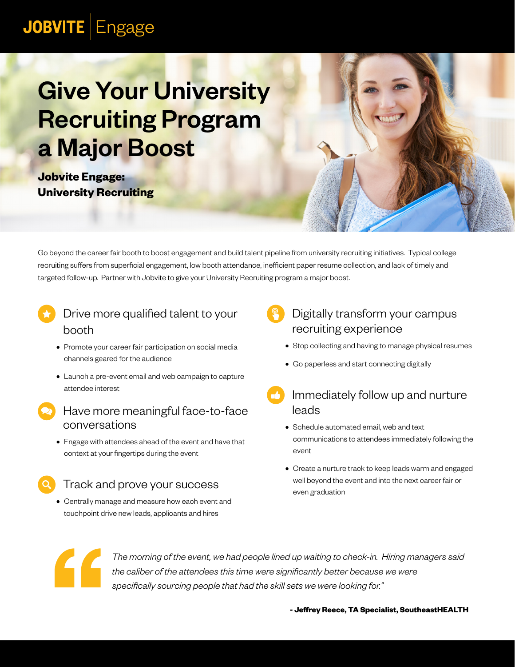## **JOBVITE** Engage

# **Give Your University** Recruiting Program a Major Boost

**Jobvite Engage: University Recruiting**

Go beyond the career fair booth to boost engagement and build talent pipeline from university recruiting initiatives. Typical college recruiting suffers from superficial engagement, low booth attendance, inefficient paper resume collection, and lack of timely and targeted follow-up. Partner with Jobvite to give your University Recruiting program a major boost.

### Drive more qualified talent to your booth

- **•** Promote your career fair participation on social media channels geared for the audience
- **•** Launch a pre-event email and web campaign to capture attendee interest
- Have more meaningful face-to-face conversations
	- **•** Engage with attendees ahead of the event and have that context at your fingertips during the event

#### Track and prove your success

**•** Centrally manage and measure how each event and touchpoint drive new leads, applicants and hires

#### Digitally transform your campus recruiting experience

- **•** Stop collecting and having to manage physical resumes
- **•** Go paperless and start connecting digitally
- Immediately follow up and nurture leads
	- **•** Schedule automated email, web and text communications to attendees immediately following the event
	- **•** Create a nurture track to keep leads warm and engaged well beyond the event and into the next career fair or even graduation



*The morning of the event, we had people lined up waiting to check-in. Hiring managers said the caliber of the attendees this time were significantly better because we were specifically sourcing people that had the skill sets we were looking for."*